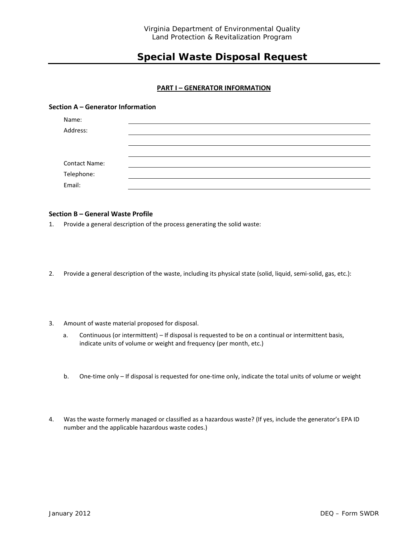# **Special Waste Disposal Request**

# **PART I – GENERATOR INFORMATION**

### **Section A – Generator Information**

| Name:                |  |  |
|----------------------|--|--|
| Address:             |  |  |
|                      |  |  |
|                      |  |  |
| <b>Contact Name:</b> |  |  |
| Telephone:           |  |  |
| Email:               |  |  |

### **Section B – General Waste Profile**

1. Provide a general description of the process generating the solid waste:

- 2. Provide a general description of the waste, including its physical state (solid, liquid, semi-solid, gas, etc.):
- 3. Amount of waste material proposed for disposal.
	- a. Continuous (or intermittent) If disposal is requested to be on a continual or intermittent basis, indicate units of volume or weight and frequency (per month, etc.)
	- b. One-time only If disposal is requested for one-time only, indicate the total units of volume or weight
- 4. Was the waste formerly managed or classified as a hazardous waste? (If yes, include the generator's EPA ID number and the applicable hazardous waste codes.)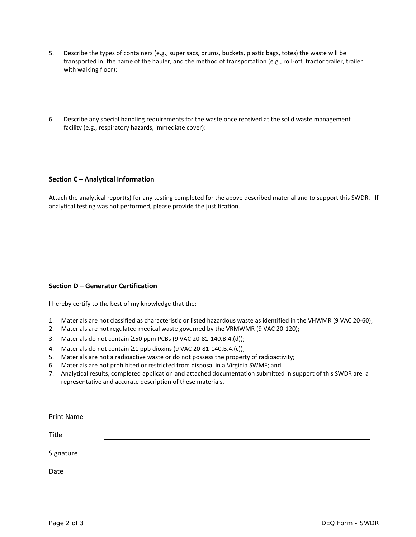- 5. Describe the types of containers (e.g., super sacs, drums, buckets, plastic bags, totes) the waste will be transported in, the name of the hauler, and the method of transportation (e.g., roll-off, tractor trailer, trailer with walking floor):
- 6. Describe any special handling requirements for the waste once received at the solid waste management facility (e.g., respiratory hazards, immediate cover):

# **Section C – Analytical Information**

Attach the analytical report(s) for any testing completed for the above described material and to support this SWDR. If analytical testing was not performed, please provide the justification.

# **Section D – Generator Certification**

I hereby certify to the best of my knowledge that the:

- 1. Materials are not classified as characteristic or listed hazardous waste as identified in the VHWMR (9 VAC 20-60);
- 2. Materials are not regulated medical waste governed by the VRMWMR (9 VAC 20-120);
- 3. Materials do not contain ≥50 ppm PCBs (9 VAC 20-81-140.B.4.(d));
- 4. Materials do not contain  $\geq$ 1 ppb dioxins (9 VAC 20-81-140.B.4.(c));
- 5. Materials are not a radioactive waste or do not possess the property of radioactivity;
- 6. Materials are not prohibited or restricted from disposal in a Virginia SWMF; and
- 7. Analytical results, completed application and attached documentation submitted in support of this SWDR are a representative and accurate description of these materials.

| Print Name |  |  |
|------------|--|--|
| Title      |  |  |
|            |  |  |
| Signature  |  |  |
| Date       |  |  |